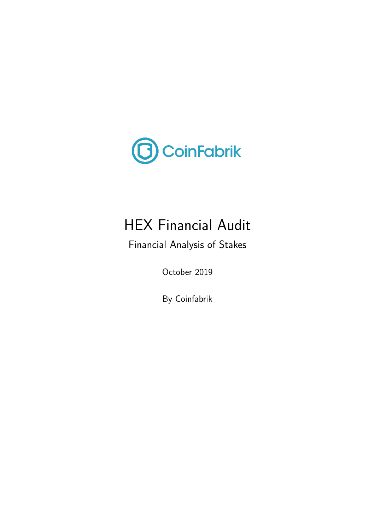

# HEX Financial Audit

Financial Analysis of Stakes

October 2019

By Coinfabrik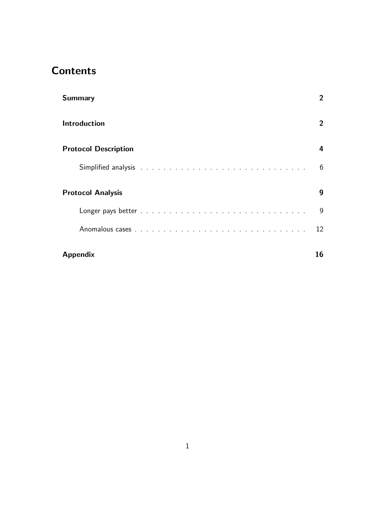## **Contents**

| <b>Summary</b>              | 2            |
|-----------------------------|--------------|
| <b>Introduction</b>         | $\mathbf{2}$ |
| <b>Protocol Description</b> | 4            |
|                             | 6            |
| <b>Protocol Analysis</b>    | 9            |
|                             | 9            |
|                             | 12           |
| <b>Appendix</b>             | 16           |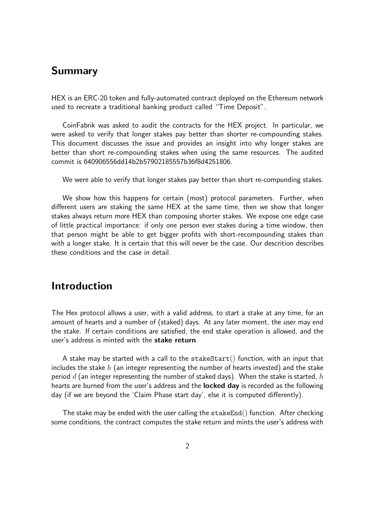## Summary

HEX is an ERC-20 token and fully-automated contract deployed on the Ethereum network used to recreate a traditional banking product called "Time Deposit".

CoinFabrik was asked to audit the contracts for the HEX project. In particular, we were asked to verify that longer stakes pay better than shorter re-compounding stakes. This document discusses the issue and provides an insight into why longer stakes are better than short re-compounding stakes when using the same resources. The audited commit is 640906556dd14b2b57902185557b36f8d4251806.

We were able to verify that longer stakes pay better than short re-compunding stakes.

We show how this happens for certain (most) protocol parameters. Further, when different users are staking the same HEX at the same time, then we show that longer stakes always return more HEX than composing shorter stakes. We expose one edge case of little practical importance: if only one person ever stakes during a time window, then that person might be able to get bigger profits with short-recompounding stakes than with a longer stake. It is certain that this will never be the case. Our descrition describes these conditions and the case in detail.

## Introduction

The Hex protocol allows a user, with a valid address, to start a stake at any time, for an amount of hearts and a number of (staked) days. At any later moment, the user may end the stake. If certain conditions are satisfied, the end stake operation is allowed, and the user's address is minted with the stake return.

A stake may be started with a call to the  $states_{\text{start}}($ ) function, with an input that includes the stake  $h$  (an integer representing the number of hearts invested) and the stake period  $d$  (an integer representing the number of staked days). When the stake is started,  $h$ hearts are burned from the user's address and the **locked day** is recorded as the following day (if we are beyond the 'Claim Phase start day', else it is computed differently).

The stake may be ended with the user calling the  $stakeEnd()$  function. After checking some conditions, the contract computes the stake return and mints the user's address with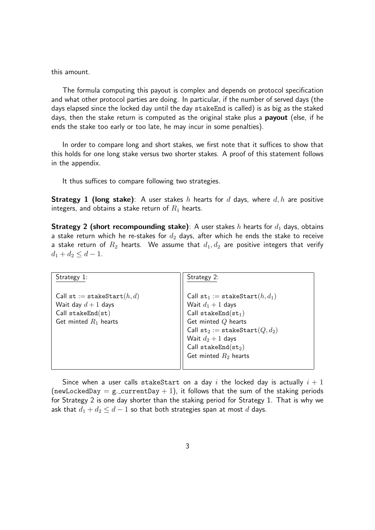this amount.

The formula computing this payout is complex and depends on protocol specification and what other protocol parties are doing. In particular, if the number of served days (the days elapsed since the locked day until the day stakeEnd is called) is as big as the staked days, then the stake return is computed as the original stake plus a **payout** (else, if he ends the stake too early or too late, he may incur in some penalties).

In order to compare long and short stakes, we first note that it suffices to show that this holds for one long stake versus two shorter stakes. A proof of this statement follows in the appendix.

It thus suffices to compare following two strategies.

**Strategy 1 (long stake)**: A user stakes h hearts for d days, where  $d, h$  are positive integers, and obtains a stake return of  $R_1$  hearts.

**Strategy 2 (short recompounding stake)**: A user stakes h hearts for  $d_1$  days, obtains a stake return which he re-stakes for  $d_2$  days, after which he ends the stake to receive a stake return of  $R_2$  hearts. We assume that  $d_1, d_2$  are positive integers that verify  $d_1 + d_2 \leq d - 1.$ 

| Strategy 1:                                                                                             | Strategy 2:                                                                                                                                                                                                                                    |
|---------------------------------------------------------------------------------------------------------|------------------------------------------------------------------------------------------------------------------------------------------------------------------------------------------------------------------------------------------------|
| Call st := stakeStart $(h, d)$<br>Wait day $d+1$ days<br>$Call$ stakeEnd(st)<br>Get minted $R_1$ hearts | Call $\texttt{st}_1 := \texttt{stakeStart}(h, d_1)$<br>Wait $d_1 + 1$ days<br>Call stakeEnd $(st_1)$<br>Get minted $Q$ hearts<br>Call $st_2 := stakeStart(Q, d_2)$<br>Wait $d_2 + 1$ days<br>Call stakeEnd $(st_2)$<br>Get minted $R_2$ hearts |

Since when a user calls stakeStart on a day i the locked day is actually  $i + 1$ (newLockedDay = g.\_currentDay + 1), it follows that the sum of the staking periods for Strategy 2 is one day shorter than the staking period for Strategy 1. That is why we ask that  $d_1 + d_2 \leq d - 1$  so that both strategies span at most  $d$  days.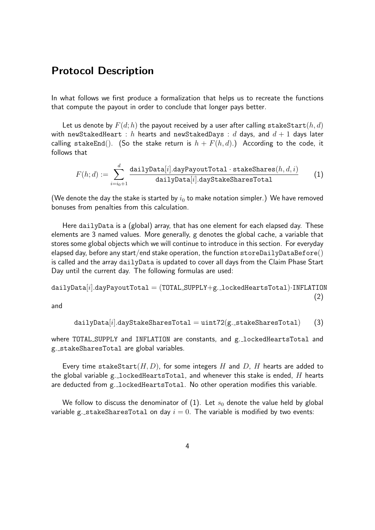### Protocol Description

In what follows we first produce a formalization that helps us to recreate the functions that compute the payout in order to conclude that longer pays better.

Let us denote by  $F(d; h)$  the payout received by a user after calling stakeStart $(h, d)$ with newStakedHeart : h hearts and newStakedDays : d days, and  $d+1$  days later calling stakeEnd(). (So the stake return is  $h + F(h, d)$ .) According to the code, it follows that

$$
F(h; d) := \sum_{i=i_0+1}^{d} \frac{\text{dailyData}[i].\text{dayPayoutTotal}\cdot\text{stateShares}(h, d, i)}{\text{dailyData}[i].\text{dayStakeSharesTotal}} \qquad (1)
$$

(We denote the day the stake is started by  $i_0$  to make notation simpler.) We have removed bonuses from penalties from this calculation.

Here dailyData is a (global) array, that has one element for each elapsed day. These elements are 3 named values. More generally, g denotes the global cache, a variable that stores some global objects which we will continue to introduce in this section. For everyday elapsed day, before any start/end stake operation, the function  $\texttt{storeDailyDatefore}()$ is called and the array dailyData is updated to cover all days from the Claim Phase Start Day until the current day. The following formulas are used:

$$
\mathtt{dailyData}[i]. \mathtt{dayPayoutTotal} = (\mathtt{TOTAL\_SUPPLY} + g.\mathtt{lockedHeartsTotal})\cdot \mathtt{INFLATION} \tag{2}
$$

and

$$
{\tt dailyData}[i]. {\tt days} {\tt takes} {\tt SharesTotal} = {\tt unit72} ({\tt g.\_stack} {\tt SharesTotal}) \hspace{0.5cm} (3)
$$

where TOTAL\_SUPPLY and INFLATION are constants, and g. lockedHeartsTotal and g. stakeSharesTotal are global variables.

Every time stakeStart $(H, D)$ , for some integers H and D, H hearts are added to the global variable g. locked Hearts Total, and whenever this stake is ended,  $H$  hearts are deducted from g. lockedHeartsTotal. No other operation modifies this variable.

We follow to discuss the denominator of (1). Let  $s_0$  denote the value held by global variable g. stakeSharesTotal on day  $i = 0$ . The variable is modified by two events: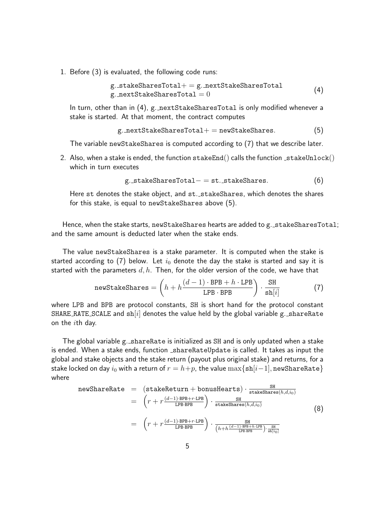1. Before (3) is evaluated, the following code runs:

$$
\begin{aligned} \texttt{g\_stackS} \texttt{haresTotal} &+= \texttt{g\_nextStakeS} \texttt{haresTotal} \\ \texttt{g\_nextStakeS} \texttt{haresTotal} & = 0 \end{aligned} \tag{4}
$$

In turn, other than in (4), g. nextStakeSharesTotal is only modified whenever a stake is started. At that moment, the contract computes

$$
g {\tt .nextStakeShareStal += newStakeShares.} \eqno{(5)}
$$

The variable newStakeShares is computed according to (7) that we describe later.

2. Also, when a stake is ended, the function  $\text{stackEnd}()$  calls the function  $\text{stateUnlock}()$ which in turn executes

$$
\verb& g._{\verb&stackSharesTotal-&=\verb&st._{\verb&stackShares.}{(6)}\\
$$

Here st denotes the stake object, and st. stakeShares, which denotes the shares for this stake, is equal to newStakeShares above (5).

Hence, when the stake starts, newStakeShares hearts are added to g.\_stakeSharesTotal; and the same amount is deducted later when the stake ends.

The value newStakeShares is a stake parameter. It is computed when the stake is started according to (7) below. Let  $i_0$  denote the day the stake is started and say it is started with the parameters  $d, h$ . Then, for the older version of the code, we have that

newStakeShares = 
$$
\left(h + h\frac{(d-1) \cdot BPB + h \cdot LPB}{LPB \cdot BPB}\right) \cdot \frac{SH}{sh[i]}
$$
 (7)

where LPB and BPB are protocol constants, SH is short hand for the protocol constant SHARE RATE SCALE and  $\sin[i]$  denotes the value held by the global variable g. shareRate on the  $i$ th day.

The global variable g. shareRate is initialized as SH and is only updated when a stake is ended. When a stake ends, function shareRateUpdate is called. It takes as input the global and stake objects and the stake return (payout plus original stake) and returns, for a stake locked on day  $i_0$  with a return of  $r = h+p$ , the value  $\max\{\text{sh}[i-1], \text{newShareRate}\}\$ where

newShareRate = (stackReturn + bonusHearts) · 
$$
\frac{\text{SH}}{\text{stackShares}(h,d,i_0)}
$$
  
\n=  $\left(r + r \frac{(d-1) \cdot \text{BPB} + r \cdot \text{LPB}}{\text{LPB-BPB}}\right) \cdot \frac{\text{SH}}{\text{stateShares}(h,d,i_0)}$  (8)  
\n=  $\left(r + r \frac{(d-1) \cdot \text{BPB} + r \cdot \text{LPB}}{\text{LPB-BPB}}\right) \cdot \frac{\text{SH}}{\left(h+h \frac{(d-1) \cdot \text{BPB} + h \cdot \text{LPB}}{\text{LPB-BPB}}\right) \cdot \frac{\text{SH}}{\text{sh}[i_0]}}$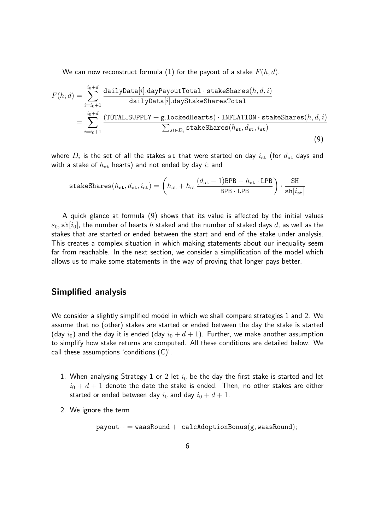We can now reconstruct formula (1) for the payout of a stake  $F(h, d)$ .

$$
F(h; d) = \sum_{i=i_0+1}^{i_0+d} \frac{\text{dailyData}[i].\text{dayPayoutTotal} \cdot \text{stateShares}(h, d, i)}{\text{dailyData}[i].\text{dayStakeSharesTotal}}
$$
  
= 
$$
\sum_{i=i_0+1}^{i_0+d} \frac{(\text{TOTAL.SUPPLY} + \text{g.lockedHearts}) \cdot \text{INFLATION} \cdot \text{stateShares}(h, d, i)}{\sum_{st \in D_i} \text{stakeShares}(h_{st}, d_{st}, i_{st})}
$$
(9)

where  $D_i$  is the set of all the stakes  $\mathtt{st}$  that were started on day  $i_{\mathtt{st}}$  (for  $d_{\mathtt{st}}$  days and with a stake of  $h_{\rm st}$  hearts) and not ended by day i; and

$$
\texttt{stakeshares}(h_{\texttt{st}},d_{\texttt{st}},i_{\texttt{st}})=\left(h_{\texttt{st}}+h_{\texttt{st}}\frac{(d_{\texttt{st}}-1)\texttt{BPB}+h_{\texttt{st}}\cdot\texttt{LPB}}{\texttt{BPB}\cdot\texttt{LPB}}\right)\cdot\frac{\texttt{SH}}{\texttt{sh}[i_{\texttt{st}}]}
$$

A quick glance at formula (9) shows that its value is affected by the initial values  $s_0$ , sh $[i_0]$ , the number of hearts h staked and the number of staked days d, as well as the stakes that are started or ended between the start and end of the stake under analysis. This creates a complex situation in which making statements about our inequality seem far from reachable. In the next section, we consider a simplification of the model which allows us to make some statements in the way of proving that longer pays better.

#### Simplified analysis

We consider a slightly simplified model in which we shall compare strategies 1 and 2. We assume that no (other) stakes are started or ended between the day the stake is started (day  $i_0$ ) and the day it is ended (day  $i_0 + d + 1$ ). Further, we make another assumption to simplify how stake returns are computed. All these conditions are detailed below. We call these assumptions 'conditions (C)'.

- 1. When analysing Strategy 1 or 2 let  $i_0$  be the day the first stake is started and let  $i_0 + d + 1$  denote the date the stake is ended. Then, no other stakes are either started or ended between day  $i_0$  and day  $i_0 + d + 1$ .
- 2. We ignore the term

$$
\verb!payout+ = \verb!waasRound+ \verb!=calcAdoptionBonus(g, \verb!waasRound);
$$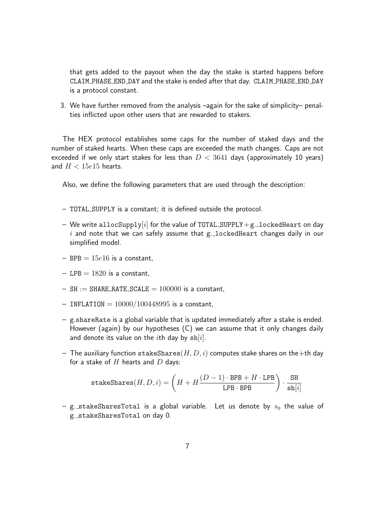that gets added to the payout when the day the stake is started happens before CLAIM PHASE END DAY and the stake is ended after that day. CLAIM PHASE END DAY is a protocol constant.

3. We have further removed from the analysis –again for the sake of simplicity– penalties inflicted upon other users that are rewarded to stakers.

The HEX protocol establishes some caps for the number of staked days and the number of staked hearts. When these caps are exceeded the math changes. Caps are not exceeded if we only start stakes for less than  $D < 3641$  days (approximately 10 years) and  $H < 15e15$  hearts.

Also, we define the following parameters that are used through the description:

- TOTAL SUPPLY is a constant; it is defined outside the protocol.
- We write allocSupply[i] for the value of TOTAL\_SUPPLY + g. lockedHeart on day  $i$  and note that we can safely assume that g. lockedHeart changes daily in our simplified model.
- $-$  BPB =  $15e16$  is a constant,
- $-$  LPB = 1820 is a constant.
- $-$  SH := SHARE RATE SCALE =  $100000$  is a constant,
- $-$  INFLATION =  $10000/100448995$  is a constant,
- g.shareRate is a global variable that is updated immediately after a stake is ended. However (again) by our hypotheses (C) we can assume that it only changes daily and denote its value on the *i*th day by  $\sin[i]$ .
- The auxiliary function stakeShares $(H, D, i)$  computes stake shares on the i-th day for a stake of  $H$  hearts and  $D$  days:

$$
\mathtt{stakeshares}(H, D, i) = \left( H + H \frac{(D-1) \cdot \mathtt{BPB} + H \cdot \mathtt{LPB}}{\mathtt{LPB} \cdot \mathtt{BPB}} \right) \cdot \frac{\mathtt{SH}}{\mathtt{sh}[i]}
$$

– g. stakeSharesTotal is a global variable. Let us denote by  $s_0$  the value of g. stakeSharesTotal on day 0.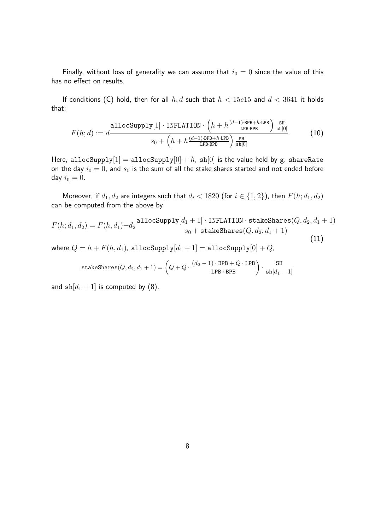Finally, without loss of generality we can assume that  $i_0 = 0$  since the value of this has no effect on results.

If conditions (C) hold, then for all  $h, d$  such that  $h < 15e15$  and  $d < 3641$  it holds that:

$$
F(h; d) := d \frac{\text{allocSupply}[1] \cdot \text{INFLATION} \cdot \left(h + h \frac{(d-1) \cdot \text{BPB} + h \cdot \text{LPB}}{\text{LPB-BPB}}\right) \frac{\text{SH}}{\text{sh}[0]}}{s_0 + \left(h + h \frac{(d-1) \cdot \text{BPB} + h \cdot \text{LPB}}{\text{LPB-BPB}}\right) \frac{\text{SH}}{\text{sh}[0]}}.
$$
(10)

Here, allocSupply $[1] = \text{allocSupply}[0] + h$ , sh $[0]$  is the value held by g. shareRate on the day  $i_0 = 0$ , and  $s_0$  is the sum of all the stake shares started and not ended before day  $i_0 = 0$ .

Moreover, if  $d_1, d_2$  are integers such that  $d_i < 1820$  (for  $i \in \{1, 2\}$ ), then  $F(h; d_1, d_2)$ can be computed from the above by

$$
F(h; d_1, d_2) = F(h, d_1) + d_2 \frac{\text{allocSupply}[d_1 + 1] \cdot \text{INFLATION} \cdot \text{stateShares}(Q, d_2, d_1 + 1)}{s_0 + \text{stateShares}(Q, d_2, d_1 + 1)}
$$
\n(11)

where  $Q = h + F(h, d_1)$ , allocSupply $[d_1 + 1] =$  allocSupply $[0] + Q$ ,

$$
\mathtt{stakeshares}(Q,d_2,d_1+1) = \left(Q + Q \cdot \frac{(d_2-1) \cdot \mathtt{BPB} + Q \cdot \mathtt{LPB}}{\mathtt{LPB} \cdot \mathtt{BPB}}\right) \cdot \frac{\mathtt{SH}}{\mathtt{sh}[d_1+1]}
$$

and  $\sin[a_1 + 1]$  is computed by (8).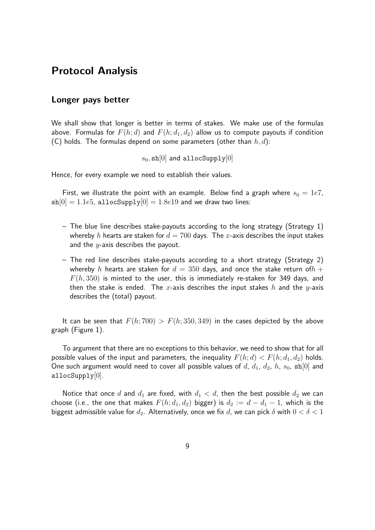## Protocol Analysis

#### Longer pays better

We shall show that longer is better in terms of stakes. We make use of the formulas above. Formulas for  $F(h; d)$  and  $F(h; d_1, d_2)$  allow us to compute payouts if condition (C) holds. The formulas depend on some parameters (other than  $h, d$ ):

 $s_0$ , sh $[0]$  and allocSupply $[0]$ 

Hence, for every example we need to establish their values.

First, we illustrate the point with an example. Below find a graph where  $s_0 = 1e7$ ,  $\sin[0] = 1.1e5$ , allocSupply $[0] = 1.8e19$  and we draw two lines:

- $-$  The blue line describes stake-payouts according to the long strategy (Strategy 1) whereby h hearts are staken for  $d = 700$  days. The x-axis describes the input stakes and the  $y$ -axis describes the payout.
- The red line describes stake-payouts according to a short strategy (Strategy 2) whereby h hearts are staken for  $d = 350$  days, and once the stake return of  $h +$  $F(h, 350)$  is minted to the user, this is immediately re-staken for 349 days, and then the stake is ended. The x-axis describes the input stakes  $h$  and the y-axis describes the (total) payout.

It can be seen that  $F(h; 700) > F(h; 350, 349)$  in the cases depicted by the above graph (Figure 1).

To argument that there are no exceptions to this behavior, we need to show that for all possible values of the input and parameters, the inequality  $F(h; d) < F(h; d_1, d_2)$  holds. One such argument would need to cover all possible values of  $d$ ,  $d_1$ ,  $d_2$ ,  $h$ ,  $s_0$ ,  $\sin[0]$  and  $allocSupply[0].$ 

Notice that once d and  $d_1$  are fixed, with  $d_1 < d$ , then the best possible  $d_2$  we can choose (i.e., the one that makes  $F(h; d_1, d_2)$  bigger) is  $d_2 := d - d_1 - 1$ , which is the biggest admissible value for  $d_2$ . Alternatively, once we fix d, we can pick  $\delta$  with  $0 < \delta < 1$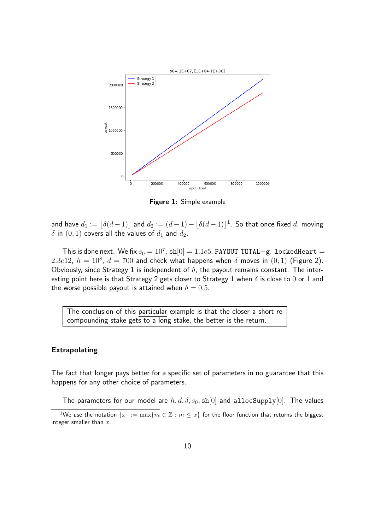

Figure 1: Simple example

and have  $d_1 := \lfloor \delta(d-1) \rfloor$  and  $d_2 := (d-1) - \lfloor \delta(d-1) \rfloor^1$ . So that once fixed  $d$ , moving  $\delta$  in  $(0, 1)$  covers all the values of  $d_1$  and  $d_2$ .

This is done next. We fix  $s_0=10^7$ ,  $\mathtt{sh}[0]=1.1e5$ , <code>PAYOUT\_TOTAL+g.\_lockedHeart</code>  $=$ 2.3e12,  $h = 10^8$ ,  $d = 700$  and check what happens when  $\delta$  moves in  $(0, 1)$  (Figure 2). Obviously, since Strategy 1 is independent of  $\delta$ , the payout remains constant. The interesting point here is that Strategy 2 gets closer to Strategy 1 when  $\delta$  is close to 0 or 1 and the worse possible payout is attained when  $\delta = 0.5$ .

The conclusion of this particular example is that the closer a short recompounding stake gets to a long stake, the better is the return.

#### Extrapolating

The fact that longer pays better for a specific set of parameters in no guarantee that this happens for any other choice of parameters.

The parameters for our model are  $h, d, \delta, s_0, \text{sh}[0]$  and allocSupply $[0]$ . The values

<sup>&</sup>lt;sup>1</sup>We use the notation  $|x| := \max\{m \in \mathbb{Z} : m \leq x\}$  for the floor function that returns the biggest integer smaller than  $x$ .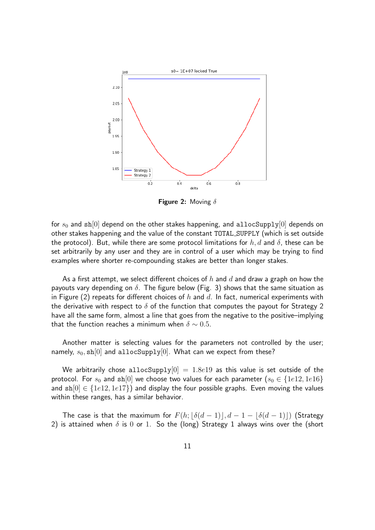

**Figure 2:** Moving  $\delta$ 

for  $s_0$  and sh[0] depend on the other stakes happening, and allocSupply[0] depends on other stakes happening and the value of the constant TOTAL SUPPLY (which is set outside the protocol). But, while there are some protocol limitations for h, d and  $\delta$ , these can be set arbitrarily by any user and they are in control of a user which may be trying to find examples where shorter re-compounding stakes are better than longer stakes.

As a first attempt, we select different choices of h and d and draw a graph on how the payouts vary depending on  $\delta$ . The figure below (Fig. 3) shows that the same situation as in Figure (2) repeats for different choices of h and d. In fact, numerical experiments with the derivative with respect to  $\delta$  of the function that computes the payout for Strategy 2 have all the same form, almost a line that goes from the negative to the positive–implying that the function reaches a minimum when  $\delta \sim 0.5$ .

Another matter is selecting values for the parameters not controlled by the user; namely,  $s_0$ , sh[0] and allocSupply[0]. What can we expect from these?

We arbitrarily chose allocSupply $[0] = 1.8e19$  as this value is set outside of the protocol. For  $s_0$  and sh[0] we choose two values for each parameter  $(s_0 \in \{1e12, 1e16\})$ and  $\text{sh}[0] \in \{1e12, 1e17\}$ ) and display the four possible graphs. Even moving the values within these ranges, has a similar behavior.

The case is that the maximum for  $F(h; |\delta(d-1)|, d-1 - |\delta(d-1)|)$  (Strategy 2) is attained when  $\delta$  is 0 or 1. So the (long) Strategy 1 always wins over the (short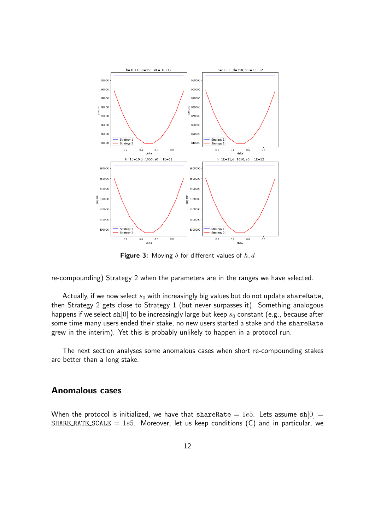

**Figure 3:** Moving  $\delta$  for different values of  $h, d$ 

re-compounding) Strategy 2 when the parameters are in the ranges we have selected.

Actually, if we now select  $s_0$  with increasingly big values but do not update shareRate, then Strategy 2 gets close to Strategy 1 (but never surpasses it). Something analogous happens if we select  $\sin[0]$  to be increasingly large but keep  $s_0$  constant (e.g., because after some time many users ended their stake, no new users started a stake and the shareRate grew in the interim). Yet this is probably unlikely to happen in a protocol run.

The next section analyses some anomalous cases when short re-compounding stakes are better than a long stake.

#### Anomalous cases

When the protocol is initialized, we have that shareRate = 1e5. Lets assume  $sh[0] =$ SHARE RATE SCALE =  $1e5$ . Moreover, let us keep conditions (C) and in particular, we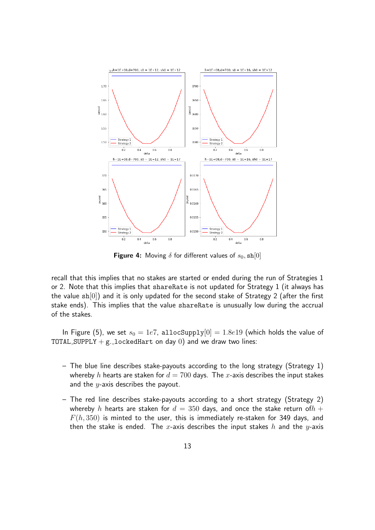

**Figure 4:** Moving  $\delta$  for different values of  $s_0$ , sh[0]

recall that this implies that no stakes are started or ended during the run of Strategies 1 or 2. Note that this implies that shareRate is not updated for Strategy 1 (it always has the value  $sh[0]$ ) and it is only updated for the second stake of Strategy 2 (after the first stake ends). This implies that the value shareRate is unusually low during the accrual of the stakes.

In Figure (5), we set  $s_0 = 1e7$ , allocSupply $[0] = 1.8e19$  (which holds the value of TOTAL SUPPLY  $+ g$ . locked Hart on day 0) and we draw two lines:

- The blue line describes stake-payouts according to the long strategy (Strategy 1) whereby h hearts are staken for  $d = 700$  days. The x-axis describes the input stakes and the  $y$ -axis describes the payout.
- The red line describes stake-payouts according to a short strategy (Strategy 2) whereby h hearts are staken for  $d = 350$  days, and once the stake return of  $h +$  $F(h, 350)$  is minted to the user, this is immediately re-staken for 349 days, and then the stake is ended. The x-axis describes the input stakes  $h$  and the  $y$ -axis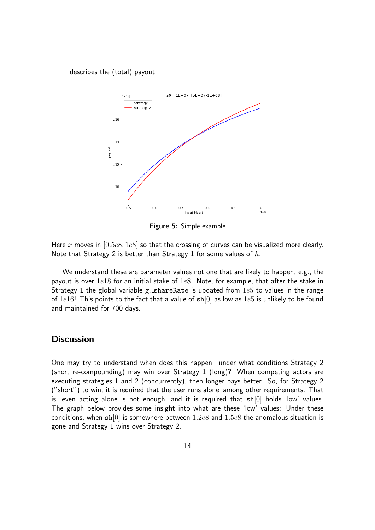describes the (total) payout.



Figure 5: Simple example

Here x moves in  $[0.5e8, 1e8]$  so that the crossing of curves can be visualized more clearly. Note that Strategy 2 is better than Strategy 1 for some values of  $h$ .

We understand these are parameter values not one that are likely to happen, e.g., the payout is over  $1e18$  for an initial stake of  $1e8!$  Note, for example, that after the stake in Strategy 1 the global variable g. shareRate is updated from  $1e5$  to values in the range of 1e16! This points to the fact that a value of  $\sin[0]$  as low as 1e5 is unlikely to be found and maintained for 700 days.

#### **Discussion**

One may try to understand when does this happen: under what conditions Strategy 2 (short re-compounding) may win over Strategy 1 (long)? When competing actors are executing strategies 1 and 2 (concurrently), then longer pays better. So, for Strategy 2 ("short") to win, it is required that the user runs alone–among other requirements. That is, even acting alone is not enough, and it is required that  $sh[0]$  holds 'low' values. The graph below provides some insight into what are these 'low' values: Under these conditions, when  $\sin[0]$  is somewhere between 1.2e8 and 1.5e8 the anomalous situation is gone and Strategy 1 wins over Strategy 2.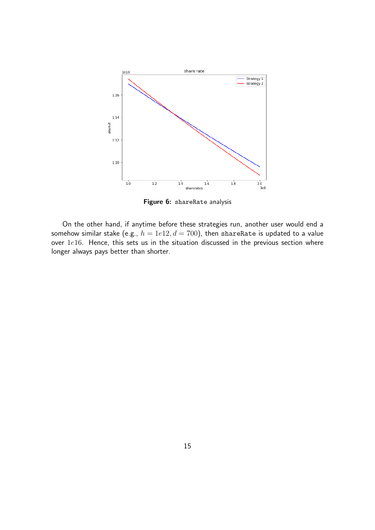

Figure 6: shareRate analysis

On the other hand, if anytime before these strategies run, another user would end a somehow similar stake (e.g.,  $h = 1e12, d = 700$ ), then shareRate is updated to a value over  $1e16$ . Hence, this sets us in the situation discussed in the previous section where longer always pays better than shorter.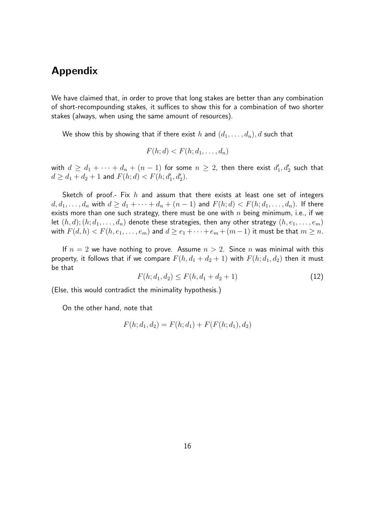## Appendix

We have claimed that, in order to prove that long stakes are better than any combination of short-recompounding stakes, it suffices to show this for a combination of two shorter stakes (always, when using the same amount of resources).

We show this by showing that if there exist h and  $(d_1, \ldots, d_n)$ , d such that

$$
F(h; d) < F(h; d_1, \ldots, d_n)
$$

with  $d \geq d_1 + \cdots + d_n + (n-1)$  for some  $n \geq 2$ , then there exist  $d'_1, d'_2$  such that  $d \geq d_1 + d_2 + 1$  and  $F(h; d) < F(h; d'_1, d'_2)$ .

Sketch of proof.- Fix  $h$  and assum that there exists at least one set of integers  $d, d_1, \ldots, d_n$  with  $d \geq d_1 + \cdots + d_n + (n-1)$  and  $F(h; d) < F(h; d_1, \ldots, d_n)$ . If there exists more than one such strategy, there must be one with  $n$  being minimum, i.e., if we let  $(h, d)$ ;  $(h; d_1, \ldots, d_n)$  denote these strategies, then any other strategy  $(h, e_1, \ldots, e_m)$ with  $F(d, h) < F(h, e_1, \ldots, e_m)$  and  $d \ge e_1 + \cdots + e_m + (m-1)$  it must be that  $m \ge n$ .

If  $n = 2$  we have nothing to prove. Assume  $n > 2$ . Since n was minimal with this property, it follows that if we compare  $F(h, d_1 + d_2 + 1)$  with  $F(h; d_1, d_2)$  then it must be that

$$
F(h; d_1, d_2) \le F(h, d_1 + d_2 + 1) \tag{12}
$$

(Else, this would contradict the minimality hypothesis.)

On the other hand, note that

$$
F(h; d_1, d_2) = F(h; d_1) + F(F(h; d_1), d_2)
$$